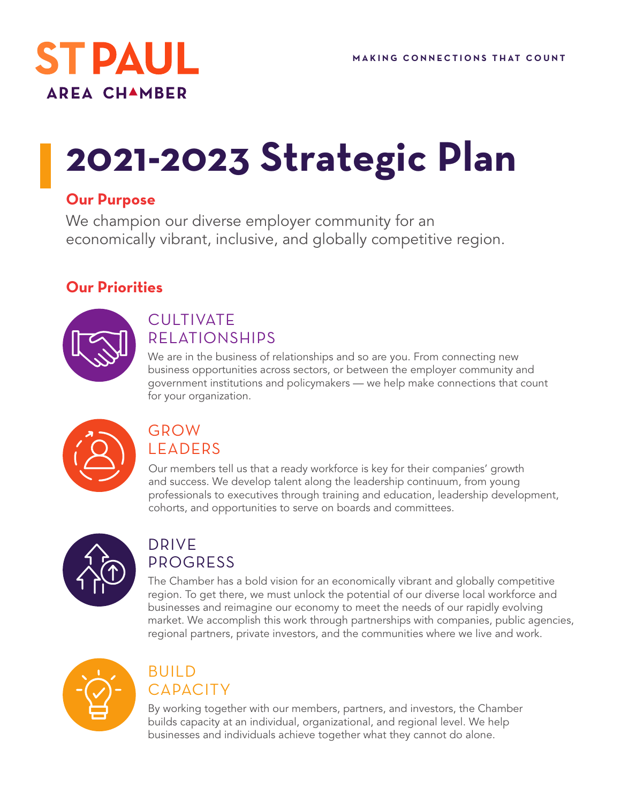

# **2021-2023 Strategic Plan**

#### **Our Purpose**

We champion our diverse employer community for an economically vibrant, inclusive, and globally competitive region.

#### **Our Priorities**



#### **CULTIVATE** RELATIONSHIPS

We are in the business of relationships and so are you. From connecting new business opportunities across sectors, or between the employer community and government institutions and policymakers — we help make connections that count for your organization.



#### GROW LEADERS

Our members tell us that a ready workforce is key for their companies' growth and success. We develop talent along the leadership continuum, from young professionals to executives through training and education, leadership development, cohorts, and opportunities to serve on boards and committees.



#### DRIVE PROGRESS

The Chamber has a bold vision for an economically vibrant and globally competitive region. To get there, we must unlock the potential of our diverse local workforce and businesses and reimagine our economy to meet the needs of our rapidly evolving market. We accomplish this work through partnerships with companies, public agencies, regional partners, private investors, and the communities where we live and work.



#### **BUILD CAPACITY**

By working together with our members, partners, and investors, the Chamber builds capacity at an individual, organizational, and regional level. We help businesses and individuals achieve together what they cannot do alone.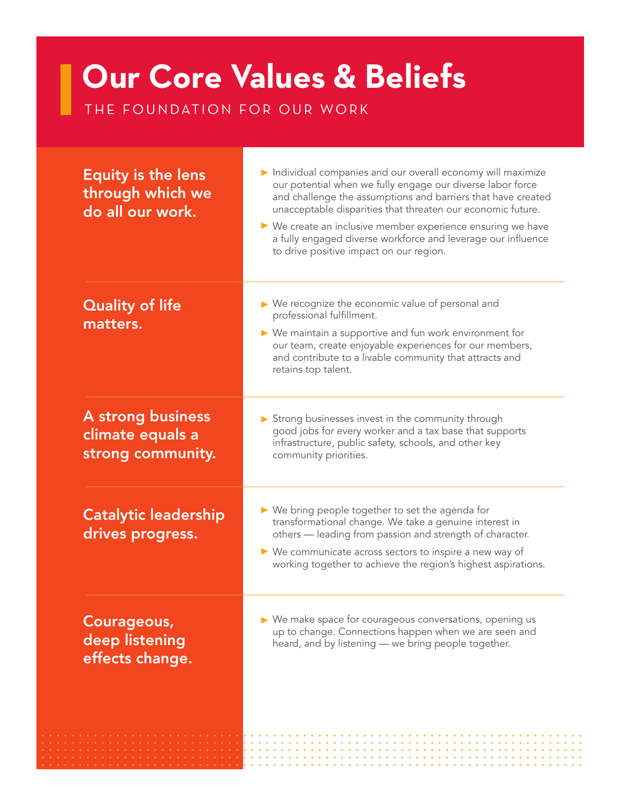## **Our Core Values & Beliefs**

THE FOUNDATION FOR OUR WORK

| <b>Equity is the lens</b><br>through which we<br>do all our work. | Individual companies and our overall economy will maximize<br>our potential when we fully engage our diverse labor force<br>and challenge the assumptions and barriers that have created<br>unacceptable disparities that threaten our economic future.<br>▶ We create an inclusive member experience ensuring we have<br>a fully engaged diverse workforce and leverage our influence<br>to drive positive impact on our region. |
|-------------------------------------------------------------------|-----------------------------------------------------------------------------------------------------------------------------------------------------------------------------------------------------------------------------------------------------------------------------------------------------------------------------------------------------------------------------------------------------------------------------------|
| <b>Quality of life</b><br>matters.                                | ▶ We recognize the economic value of personal and<br>professional fulfillment.<br>▶ We maintain a supportive and fun work environment for<br>our team, create enjoyable experiences for our members,<br>and contribute to a livable community that attracts and<br>retains top talent.                                                                                                                                            |
| A strong business<br>climate equals a<br>strong community.        | Strong businesses invest in the community through<br>good jobs for every worker and a tax base that supports<br>infrastructure, public safety, schools, and other key<br>community priorities.                                                                                                                                                                                                                                    |
| <b>Catalytic leadership</b><br>drives progress.                   | $\triangleright$ We bring people together to set the agenda for<br>transformational change. We take a genuine interest in<br>others - leading from passion and strength of character.<br>$\triangleright$ We communicate across sectors to inspire a new way of<br>working together to achieve the region's highest aspirations.                                                                                                  |
| Courageous,<br>deep listening<br>effects change.                  | ▶ We make space for courageous conversations, opening us<br>up to change. Connections happen when we are seen and<br>heard, and by listening - we bring people together.                                                                                                                                                                                                                                                          |
|                                                                   |                                                                                                                                                                                                                                                                                                                                                                                                                                   |